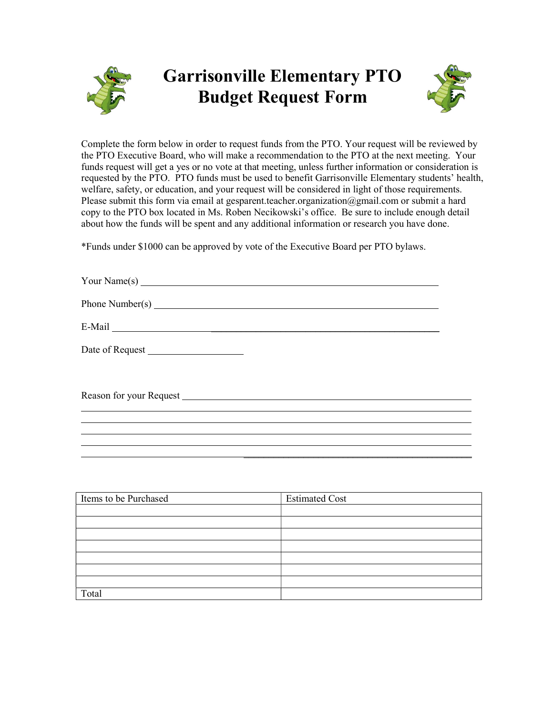

## Garrisonville Elementary PTO Budget Request Form



Complete the form below in order to request funds from the PTO. Your request will be reviewed by the PTO Executive Board, who will make a recommendation to the PTO at the next meeting. Your funds request will get a yes or no vote at that meeting, unless further information or consideration is requested by the PTO. PTO funds must be used to benefit Garrisonville Elementary students' health, welfare, safety, or education, and your request will be considered in light of those requirements. Please submit this form via email at gesparent.teacher.organization@gmail.com or submit a hard copy to the PTO box located in Ms. Roben Necikowski's office. Be sure to include enough detail about how the funds will be spent and any additional information or research you have done.

\*Funds under \$1000 can be approved by vote of the Executive Board per PTO bylaws.

| Your Name(s)    |  |
|-----------------|--|
| Phone Number(s) |  |
|                 |  |
|                 |  |
|                 |  |
|                 |  |

| Items to be Purchased | <b>Estimated Cost</b> |
|-----------------------|-----------------------|
|                       |                       |
|                       |                       |
|                       |                       |
|                       |                       |
|                       |                       |
|                       |                       |
|                       |                       |
| Total                 |                       |

 $\overline{\phantom{a}}$  , and the contract of the contract of the contract of the contract of the contract of the contract of the contract of the contract of the contract of the contract of the contract of the contract of the contrac